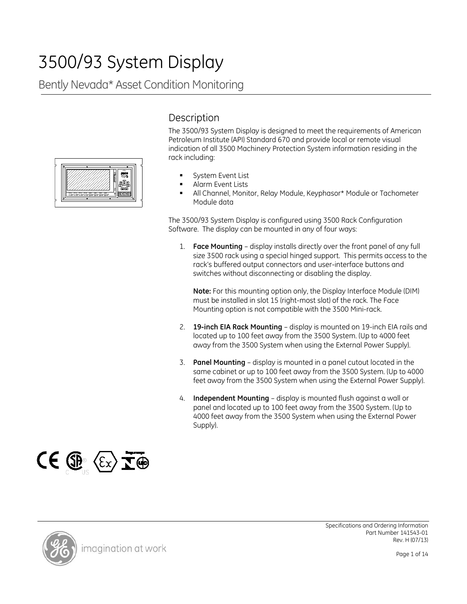# 3500/93 System Display

## Bently Nevada\* Asset Condition Monitoring



## **Description**

The 3500/93 System Display is designed to meet the requirements of American Petroleum Institute (API) Standard 670 and provide local or remote visual indication of all 3500 Machinery Protection System information residing in the rack including:

- System Event List
- Alarm Event Lists
- All Channel, Monitor, Relay Module, Keyphasor\* Module or Tachometer Module data

The 3500/93 System Display is configured using 3500 Rack Configuration Software. The display can be mounted in any of four ways:

1. **Face Mounting** – display installs directly over the front panel of any full size 3500 rack using a special hinged support. This permits access to the rack's buffered output connectors and user-interface buttons and switches without disconnecting or disabling the display.

**Note:** For this mounting option only, the Display Interface Module (DIM) must be installed in slot 15 (right-most slot) of the rack. The Face Mounting option is not compatible with the 3500 Mini-rack.

- 2. **19-inch EIA Rack Mounting** display is mounted on 19-inch EIA rails and located up to 100 feet away from the 3500 System. (Up to 4000 feet away from the 3500 System when using the External Power Supply).
- 3. **Panel Mounting** display is mounted in a panel cutout located in the same cabinet or up to 100 feet away from the 3500 System. (Up to 4000 feet away from the 3500 System when using the External Power Supply).
- 4. **Independent Mounting** display is mounted flush against a wall or panel and located up to 100 feet away from the 3500 System. (Up to 4000 feet away from the 3500 System when using the External Power Supply).





Specifications and Ordering Information Part Number 141543-01 Rev. H (07/13)

Page 1 of 14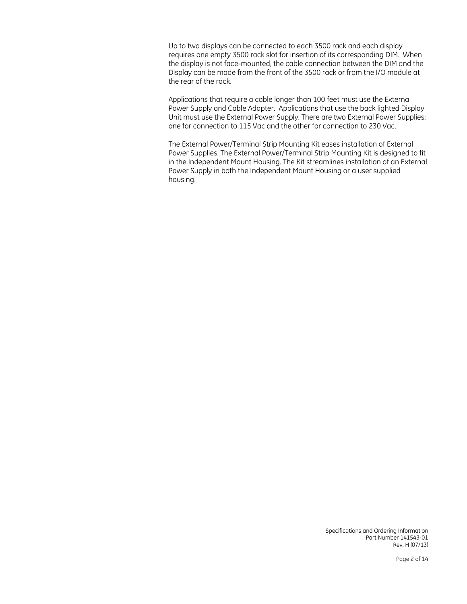Up to two displays can be connected to each 3500 rack and each display requires one empty 3500 rack slot for insertion of its corresponding DIM. When the display is not face-mounted, the cable connection between the DIM and the Display can be made from the front of the 3500 rack or from the I/O module at the rear of the rack.

Applications that require a cable longer than 100 feet must use the External Power Supply and Cable Adapter. Applications that use the back lighted Display Unit must use the External Power Supply. There are two External Power Supplies: one for connection to 115 Vac and the other for connection to 230 Vac.

The External Power/Terminal Strip Mounting Kit eases installation of External Power Supplies. The External Power/Terminal Strip Mounting Kit is designed to fit in the Independent Mount Housing. The Kit streamlines installation of an External Power Supply in both the Independent Mount Housing or a user supplied housing.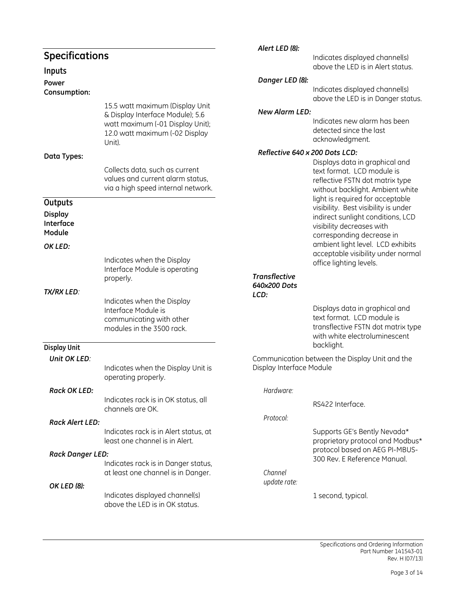|                                       |                                                                                                                  | Alert LED (8):                       |                                                                                                                                                   |
|---------------------------------------|------------------------------------------------------------------------------------------------------------------|--------------------------------------|---------------------------------------------------------------------------------------------------------------------------------------------------|
| <b>Specifications</b><br>Inputs       |                                                                                                                  |                                      | Indicates displayed channel(s)<br>above the LED is in Alert status.                                                                               |
| Power                                 |                                                                                                                  | Danger LED (8):                      |                                                                                                                                                   |
| Consumption:                          |                                                                                                                  |                                      | Indicates displayed channel(s)<br>above the LED is in Danger status.                                                                              |
|                                       | 15.5 watt maximum (Display Unit                                                                                  | <b>New Alarm LED:</b>                |                                                                                                                                                   |
|                                       | & Display Interface Module); 5.6<br>watt maximum (-01 Display Unit);<br>12.0 watt maximum (-02 Display<br>Unit). |                                      | Indicates new alarm has been<br>detected since the last<br>acknowledgment.                                                                        |
| Data Types:                           |                                                                                                                  | Reflective 640 x 200 Dots LCD:       |                                                                                                                                                   |
|                                       | Collects data, such as current<br>values and current alarm status,<br>via a high speed internal network.         |                                      | Displays data in graphical and<br>text format. LCD module is<br>reflective FSTN dot matrix type<br>without backlight. Ambient white               |
| Outputs                               |                                                                                                                  |                                      | light is required for acceptable<br>visibility. Best visibility is under                                                                          |
| <b>Display</b><br>Interface<br>Module |                                                                                                                  |                                      | indirect sunlight conditions, LCD<br>visibility decreases with<br>corresponding decrease in                                                       |
| OK LED:                               |                                                                                                                  |                                      | ambient light level. LCD exhibits<br>acceptable visibility under normal                                                                           |
|                                       | Indicates when the Display<br>Interface Module is operating                                                      |                                      | office lighting levels.                                                                                                                           |
| <b>TX/RX LED:</b>                     | properly.                                                                                                        | <b>Transflective</b><br>640x200 Dots |                                                                                                                                                   |
|                                       | Indicates when the Display<br>Interface Module is<br>communicating with other<br>modules in the 3500 rack.       | LCD:                                 | Displays data in graphical and<br>text format. LCD module is<br>transflective FSTN dot matrix type<br>with white electroluminescent<br>backlight. |
| <b>Display Unit</b><br>Unit OK LED:   |                                                                                                                  |                                      | Communication between the Display Unit and the                                                                                                    |
|                                       | Indicates when the Display Unit is<br>operating properly.                                                        | Display Interface Module             |                                                                                                                                                   |
| <b>Rack OK LED:</b>                   |                                                                                                                  | Hardware:                            |                                                                                                                                                   |
|                                       | Indicates rack is in OK status, all<br>channels are OK.                                                          |                                      | RS422 Interface.                                                                                                                                  |
| <b>Rack Alert LED:</b>                |                                                                                                                  | Protocol:                            |                                                                                                                                                   |
|                                       | Indicates rack is in Alert status, at<br>least one channel is in Alert.                                          |                                      | Supports GE's Bently Nevada*<br>proprietary protocol and Modbus*                                                                                  |
| <b>Rack Danger LED:</b>               |                                                                                                                  |                                      | protocol based on AEG PI-MBUS-<br>300 Rev. E Reference Manual.                                                                                    |
|                                       | Indicates rack is in Danger status,<br>at least one channel is in Danger.                                        | Channel<br>update rate:              |                                                                                                                                                   |
| OK LED (8):                           | Indicates displayed channel(s)<br>above the LED is in OK status.                                                 |                                      | 1 second, typical.                                                                                                                                |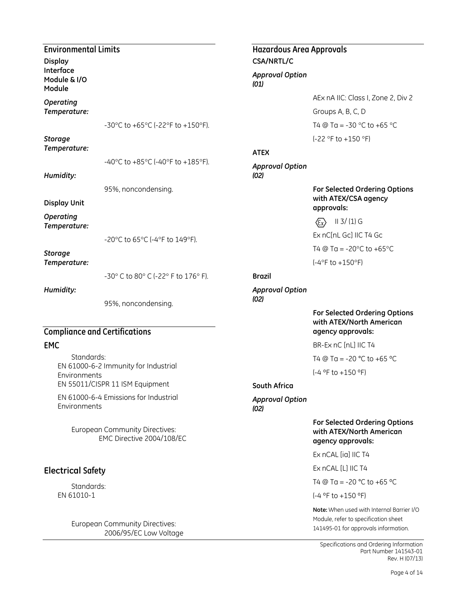| <b>Environmental Limits</b><br><b>Display</b>   |                                                             | Hazardous Area Appro<br><b>CSA/NRTL/C</b> |                                                             |
|-------------------------------------------------|-------------------------------------------------------------|-------------------------------------------|-------------------------------------------------------------|
| Interface<br>Module & I/O<br>Module             |                                                             | <b>Approval Option</b><br>(01)            |                                                             |
| Operating                                       |                                                             |                                           | AEx r                                                       |
| Temperature:                                    |                                                             |                                           | Grou                                                        |
|                                                 | -30°C to +65°C (-22°F to +150°F).                           |                                           | T4 @                                                        |
| <b>Storage</b><br>Temperature:                  |                                                             | <b>ATEX</b>                               | $(-22°$                                                     |
| Humidity:                                       | -40°C to +85°C (-40°F to +185°F).                           | <b>Approval Option</b><br>(02)            |                                                             |
| <b>Display Unit</b>                             | 95%, noncondensing.                                         |                                           | For S<br>with                                               |
| Operating                                       |                                                             |                                           | appro<br>$\langle \overline{\epsilon} \overline{x} \rangle$ |
| Temperature:                                    |                                                             |                                           | Ex nC                                                       |
|                                                 | -20°C to 65°C (-4°F to 149°F).                              |                                           | T4 @                                                        |
| <b>Storage</b><br>Temperature:                  |                                                             |                                           | $(-4°F)$                                                    |
|                                                 | -30° C to 80° C (-22° F to 176° F).                         | <b>Brazil</b>                             |                                                             |
| Humidity:                                       |                                                             | <b>Approval Option</b><br>(02)            |                                                             |
|                                                 | 95%, noncondensing.                                         |                                           | For S<br>with                                               |
|                                                 | <b>Compliance and Certifications</b>                        |                                           | agen                                                        |
| <b>EMC</b>                                      |                                                             |                                           | BR-E                                                        |
| Standards:                                      | EN 61000-6-2 Immunity for Industrial                        |                                           | T4 @                                                        |
| Environments<br>EN 55011/CISPR 11 ISM Equipment |                                                             | <b>South Africa</b>                       | $(-4 °F)$                                                   |
| Environments                                    | EN 61000-6-4 Emissions for Industrial                       | <b>Approval Option</b><br>(02)            |                                                             |
|                                                 | European Community Directives:<br>EMC Directive 2004/108/EC |                                           | For S<br>with<br>agen                                       |
|                                                 |                                                             |                                           | Ex nC                                                       |
| <b>Electrical Safety</b>                        |                                                             |                                           | Ex nC                                                       |
|                                                 |                                                             |                                           | T4 @                                                        |

Standards: EN 61010-1

> European Community Directives: 2006/95/EC Low Voltage

## ovals

AEx nA IIC: Class I, Zone 2, Div 2 ps A, B, C, D Ta =  $-30$  °C to  $+65$  °C  $\overline{P}$  to +150 °F)

**For Selected Ordering Options with ATEX/CSA agency**  ovals:

II 3/ (1) G EnL Gc] IIC T4 Gc Ta =  $-20^{\circ}$ C to  $+65^{\circ}$ C to  $+150^{\circ}$ F)

#### **For Selected Ordering Options with ATEX/North American agency approvals:**

 $\times$  nC [nL] IIC T4

Ta = -20  $^{\circ}$ C to +65  $^{\circ}$ C

to  $+150$  °F)

#### **For Selected Ordering Options with ATEX/North American agency approvals:**

CAL [ia] IIC T4

 $L$ AL  $[L]$  IIC T4

@ Ta = -20 °C to +65 °C

(-4 ºF to +150 ºF)

**Note:** When used with Internal Barrier I/O Module, refer to specification sheet 141495-01 for approvals information.

Specifications and Ordering Information Part Number 141543-01 Rev. H (07/13)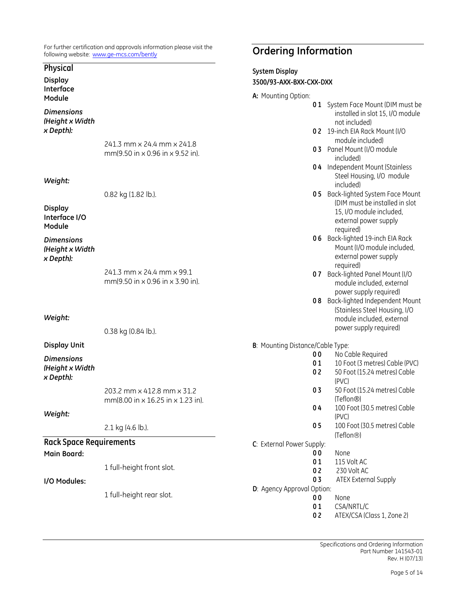For further certification and approvals information please visit the following website: [www.ge-mcs.com/bently](http://www.ge-energy.com/bently)

#### **Physical**

**Display Interface Module**

*Dimensions (Height x Width x Depth):*

> 241.3 mm x 24.4 mm x 241.8 mm(9.50 in x 0.96 in x 9.52 in).

*Weight:*

0.82 kg (1.82 lb.).

**Display Interface I/O Module**

*Dimensions (Height x Width x Depth):*

> 241.3 mm x 24.4 mm x 99.1 mm(9.50 in x 0.96 in x 3.90 in).

*Weight:*

0.38 kg (0.84 lb.).

#### **Display Unit**

*Dimensions (Height x Width x Depth):*

> 203.2 mm x 412.8 mm x 31.2 mm(8.00 in x 16.25 in x 1.23 in).

#### *Weight:*

2.1 kg (4.6 lb.).

### **Rack Space Requirements**

**Main Board:**

1 full-height front slot.

#### **I/O Modules:**

1 full-height rear slot.

## **Ordering Information**

#### **System Display 3500/93-AXX-BXX-CXX-DXX**

**A:** Mounting Option:

| n. Tiouriting option.                    |                                                                                                                                    |
|------------------------------------------|------------------------------------------------------------------------------------------------------------------------------------|
| 01                                       | System Face Mount (DIM must be<br>installed in slot 15, I/O module                                                                 |
| 02                                       | not included)<br>19-inch EIA Rack Mount (I/O                                                                                       |
| 03                                       | module included)<br>Panel Mount (I/O module                                                                                        |
|                                          | included)                                                                                                                          |
| 04                                       | Independent Mount (Stainless<br>Steel Housing, I/O module<br>included)                                                             |
| 05                                       | Back-lighted System Face Mount<br>(DIM must be installed in slot<br>15, I/O module included,<br>external power supply<br>required) |
| 06                                       | Back-lighted 19-inch EIA Rack<br>Mount (I/O module included,<br>external power supply<br>required)                                 |
| 07                                       | Back-lighted Panel Mount (I/O<br>module included, external<br>power supply required)                                               |
| 08                                       | Back-lighted Independent Mount<br>(Stainless Steel Housing, I/O<br>module included, external<br>power supply required)             |
| <b>B</b> : Mounting Distance/Cable Type: |                                                                                                                                    |
| 00                                       | No Cable Required                                                                                                                  |
| 01                                       | 10 Foot (3 metres) Cable (PVC)                                                                                                     |
| 02                                       | 50 Foot (15.24 metres) Cable<br>(PVC)                                                                                              |
| 03                                       | 50 Foot (15.24 metres) Cable<br>(Teflon®)                                                                                          |
| 04                                       | 100 Foot (30.5 metres) Cable<br>(PVC)                                                                                              |
| 05                                       | 100 Foot (30.5 metres) Cable<br>(Teflon <sup>®)</sup>                                                                              |
| C: External Power Supply:                |                                                                                                                                    |
| 00                                       | None                                                                                                                               |
| 01                                       | 115 Volt AC                                                                                                                        |
| 02                                       | 230 Volt AC                                                                                                                        |
| 0 <sub>3</sub>                           | <b>ATEX External Supply</b>                                                                                                        |
| D: Agency Approval Option:               |                                                                                                                                    |
| 00                                       | None                                                                                                                               |
| 01                                       | CSA/NRTL/C                                                                                                                         |
| 02                                       | ATEX/CSA (Class 1, Zone 2)                                                                                                         |

Specifications and Ordering Information Part Number 141543-01 Rev. H (07/13)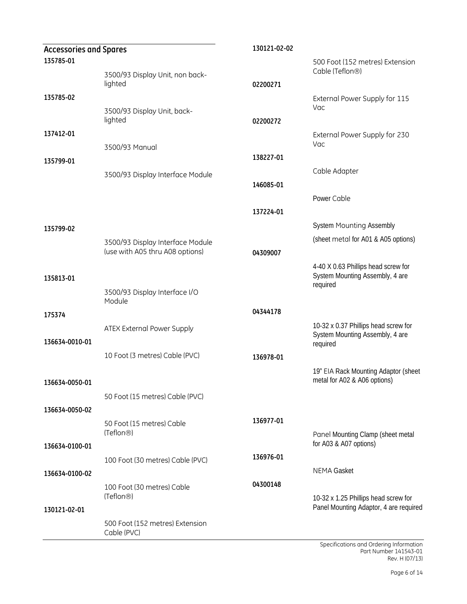| <b>Accessories and Spares</b> |                                                                     | 130121-02-02 |                                                                                     |
|-------------------------------|---------------------------------------------------------------------|--------------|-------------------------------------------------------------------------------------|
| 135785-01                     |                                                                     |              | 500 Foot (152 metres) Extension<br>Cable (Teflon <sup>®)</sup>                      |
|                               | 3500/93 Display Unit, non back-<br>lighted                          | 02200271     |                                                                                     |
| 135785-02                     |                                                                     |              | External Power Supply for 115<br>Vac                                                |
|                               | 3500/93 Display Unit, back-<br>lighted                              | 02200272     |                                                                                     |
| 137412-01                     | 3500/93 Manual                                                      |              | External Power Supply for 230<br>Vac                                                |
| 135799-01                     |                                                                     | 138227-01    |                                                                                     |
|                               | 3500/93 Display Interface Module                                    |              | Cable Adapter                                                                       |
|                               |                                                                     | 146085-01    |                                                                                     |
|                               |                                                                     |              | Power Cable                                                                         |
|                               |                                                                     | 137224-01    |                                                                                     |
| 135799-02                     |                                                                     |              | <b>System Mounting Assembly</b>                                                     |
|                               | 3500/93 Display Interface Module<br>(use with A05 thru A08 options) | 04309007     | (sheet metal for A01 & A05 options)                                                 |
| 135813-01                     |                                                                     |              | 4-40 X 0.63 Phillips head screw for<br>System Mounting Assembly, 4 are<br>required  |
|                               | 3500/93 Display Interface I/O<br>Module                             |              |                                                                                     |
| 175374                        |                                                                     | 04344178     |                                                                                     |
| 136634-0010-01                | ATEX External Power Supply                                          |              | 10-32 x 0.37 Phillips head screw for<br>System Mounting Assembly, 4 are<br>required |
|                               | 10 Foot (3 metres) Cable (PVC)                                      | 136978-01    |                                                                                     |
| 136634-0050-01                |                                                                     |              | 19" EIA Rack Mounting Adaptor (sheet<br>metal for A02 & A06 options)                |
|                               | 50 Foot (15 metres) Cable (PVC)                                     |              |                                                                                     |
| 136634-0050-02                |                                                                     |              |                                                                                     |
|                               | 50 Foot (15 metres) Cable<br>(Teflon <sup>®)</sup>                  | 136977-01    | Panel Mounting Clamp (sheet metal                                                   |
| 136634-0100-01                |                                                                     |              | for A03 & A07 options)                                                              |
|                               | 100 Foot (30 metres) Cable (PVC)                                    | 136976-01    |                                                                                     |
| 136634-0100-02                |                                                                     |              | <b>NEMA Gasket</b>                                                                  |
|                               | 100 Foot (30 metres) Cable                                          | 04300148     |                                                                                     |
| 130121-02-01                  | (Teflon <sup>®)</sup>                                               |              | 10-32 x 1.25 Phillips head screw for<br>Panel Mounting Adaptor, 4 are required      |
|                               | 500 Foot (152 metres) Extension<br>Cable (PVC)                      |              |                                                                                     |

Specifications and Ordering Information Part Number 141543-01 Rev. H (07/13)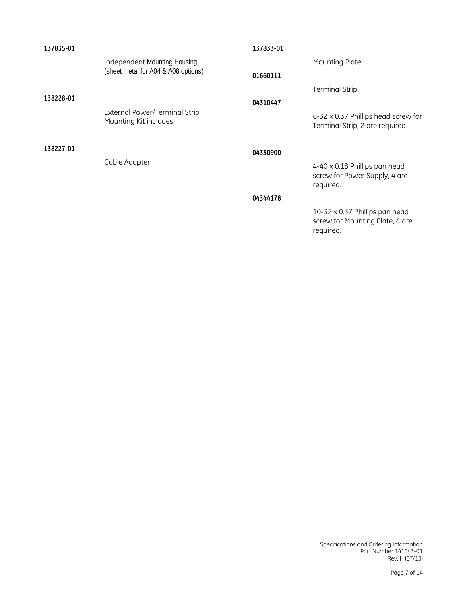| 137835-01 |                                                                     | 137833-01 |                                                                                       |
|-----------|---------------------------------------------------------------------|-----------|---------------------------------------------------------------------------------------|
|           | Independent Mounting Housing<br>(sheet metal for A04 & A08 options) |           | Mounting Plate                                                                        |
|           |                                                                     | 01660111  |                                                                                       |
| 138228-01 |                                                                     |           | <b>Terminal Strip</b>                                                                 |
|           |                                                                     | 04310447  |                                                                                       |
|           | External Power/Terminal Strip<br>Mounting Kit includes:             |           | 6-32 x 0.37 Phillips head screw for<br>Terminal Strip, 2 are required                 |
| 138227-01 |                                                                     | 04330900  |                                                                                       |
|           | Cable Adapter                                                       |           | $4-40 \times 0.18$ Phillips pan head<br>screw for Power Supply, 4 are<br>required.    |
|           |                                                                     | 04344178  |                                                                                       |
|           |                                                                     |           | $10-32 \times 0.37$ Phillips pan head<br>screw for Mounting Plate, 4 are<br>required. |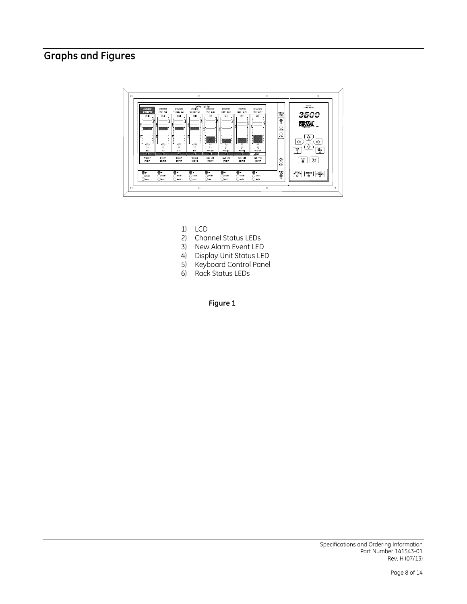## **Graphs and Figures**



- 1) LCD
- 2) Channel Status LEDs
- 3) New Alarm Event LED
- 4) Display Unit Status LED
- 5) Keyboard Control Panel
- 6) Rack Status LEDs

**Figure 1**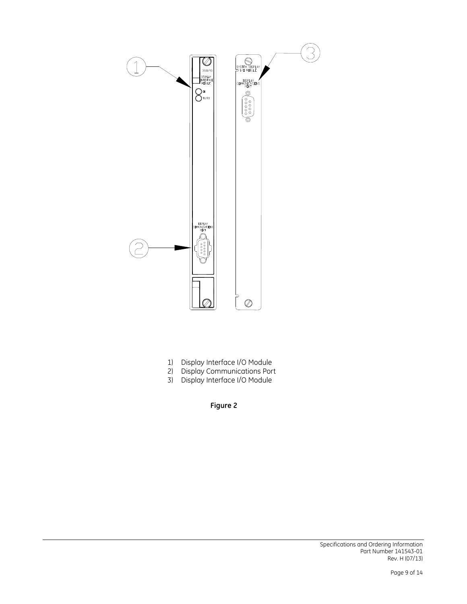

- 1) Display Interface I/O Module
- 2) Display Communications Port
- 3) Display Interface I/O Module

**Figure 2**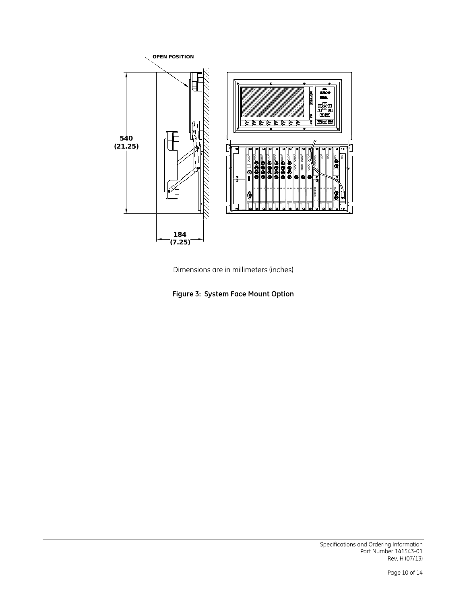



**Figure 3: System Face Mount Option**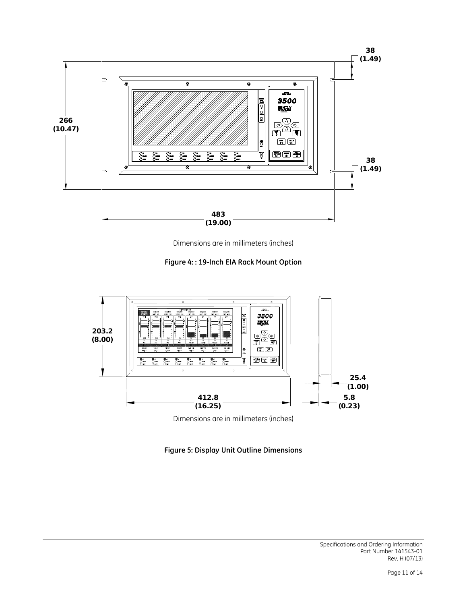

Dimensions are in millimeters (inches)





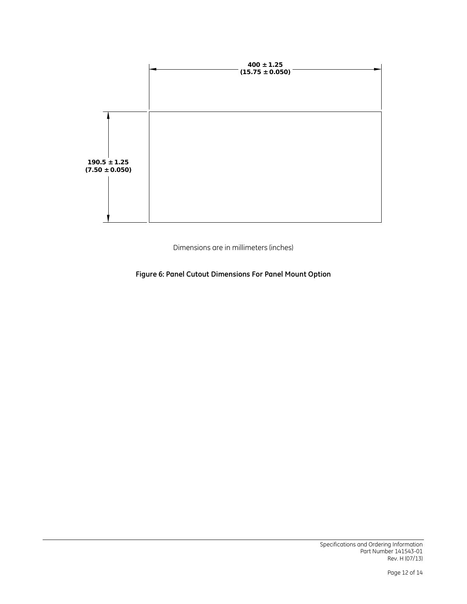

Dimensions are in millimeters (inches)

**Figure 6: Panel Cutout Dimensions For Panel Mount Option**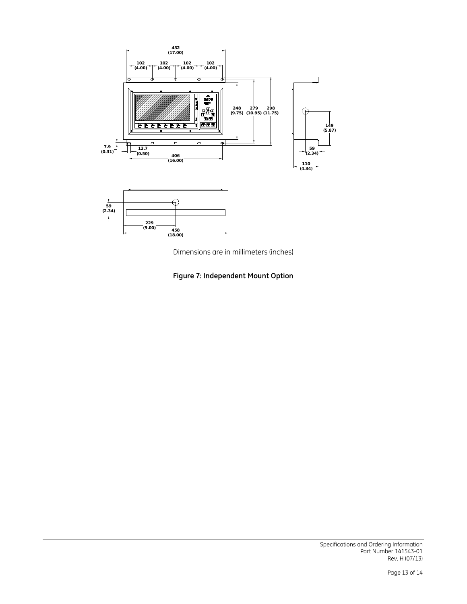

Dimensions are in millimeters (inches)

**Figure 7: Independent Mount Option**